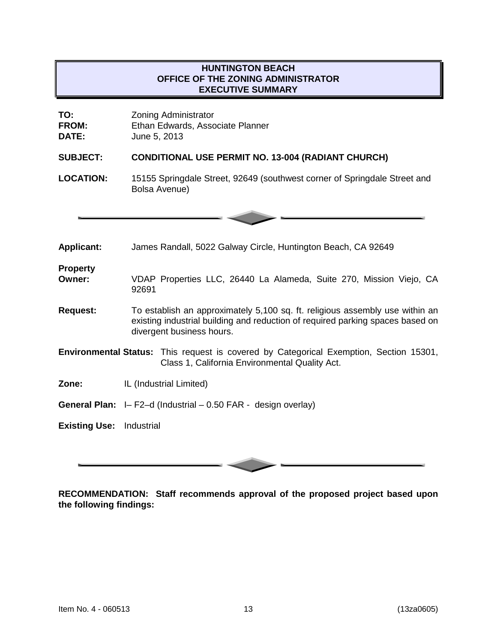# **HUNTINGTON BEACH OFFICE OF THE ZONING ADMINISTRATOR EXECUTIVE SUMMARY**

| TO:          | <b>Zoning Administrator</b>      |
|--------------|----------------------------------|
| <b>FROM:</b> | Ethan Edwards, Associate Planner |
| <b>DATE:</b> | June 5, 2013                     |

# **SUBJECT: CONDITIONAL USE PERMIT NO. 13-004 (RADIANT CHURCH)**

**LOCATION:** 15155 Springdale Street, 92649 (southwest corner of Springdale Street and Bolsa Avenue)

| <b>Applicant:</b>               | James Randall, 5022 Galway Circle, Huntington Beach, CA 92649                                                                                                                               |  |
|---------------------------------|---------------------------------------------------------------------------------------------------------------------------------------------------------------------------------------------|--|
| <b>Property</b><br>Owner:       | VDAP Properties LLC, 26440 La Alameda, Suite 270, Mission Viejo, CA<br>92691                                                                                                                |  |
| <b>Request:</b>                 | To establish an approximately 5,100 sq. ft. religious assembly use within an<br>existing industrial building and reduction of required parking spaces based on<br>divergent business hours. |  |
|                                 | <b>Environmental Status:</b> This request is covered by Categorical Exemption, Section 15301,<br>Class 1, California Environmental Quality Act.                                             |  |
| Zone:                           | IL (Industrial Limited)                                                                                                                                                                     |  |
|                                 | <b>General Plan:</b> $I - F2-d$ (Industrial $-0.50$ FAR - design overlay)                                                                                                                   |  |
| <b>Existing Use: Industrial</b> |                                                                                                                                                                                             |  |
|                                 |                                                                                                                                                                                             |  |

**RECOMMENDATION: Staff recommends approval of the proposed project based upon the following findings:**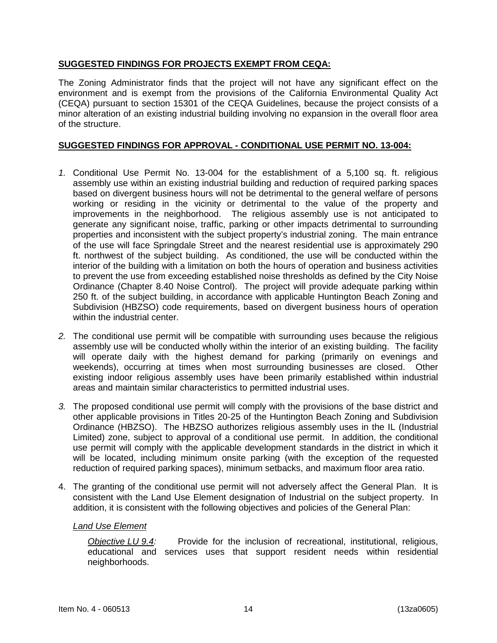# **SUGGESTED FINDINGS FOR PROJECTS EXEMPT FROM CEQA:**

The Zoning Administrator finds that the project will not have any significant effect on the environment and is exempt from the provisions of the California Environmental Quality Act (CEQA) pursuant to section 15301 of the CEQA Guidelines, because the project consists of a minor alteration of an existing industrial building involving no expansion in the overall floor area of the structure.

### **SUGGESTED FINDINGS FOR APPROVAL - CONDITIONAL USE PERMIT NO. 13-004:**

- *1.* Conditional Use Permit No. 13-004 for the establishment of a 5,100 sq. ft. religious assembly use within an existing industrial building and reduction of required parking spaces based on divergent business hours will not be detrimental to the general welfare of persons working or residing in the vicinity or detrimental to the value of the property and improvements in the neighborhood. The religious assembly use is not anticipated to generate any significant noise, traffic, parking or other impacts detrimental to surrounding properties and inconsistent with the subject property's industrial zoning. The main entrance of the use will face Springdale Street and the nearest residential use is approximately 290 ft. northwest of the subject building. As conditioned, the use will be conducted within the interior of the building with a limitation on both the hours of operation and business activities to prevent the use from exceeding established noise thresholds as defined by the City Noise Ordinance (Chapter 8.40 Noise Control). The project will provide adequate parking within 250 ft. of the subject building, in accordance with applicable Huntington Beach Zoning and Subdivision (HBZSO) code requirements, based on divergent business hours of operation within the industrial center.
- *2.* The conditional use permit will be compatible with surrounding uses because the religious assembly use will be conducted wholly within the interior of an existing building. The facility will operate daily with the highest demand for parking (primarily on evenings and weekends), occurring at times when most surrounding businesses are closed. Other existing indoor religious assembly uses have been primarily established within industrial areas and maintain similar characteristics to permitted industrial uses.
- *3.* The proposed conditional use permit will comply with the provisions of the base district and other applicable provisions in Titles 20-25 of the Huntington Beach Zoning and Subdivision Ordinance (HBZSO). The HBZSO authorizes religious assembly uses in the IL (Industrial Limited) zone, subject to approval of a conditional use permit. In addition, the conditional use permit will comply with the applicable development standards in the district in which it will be located, including minimum onsite parking (with the exception of the requested reduction of required parking spaces), minimum setbacks, and maximum floor area ratio.
- 4. The granting of the conditional use permit will not adversely affect the General Plan. It is consistent with the Land Use Element designation of Industrial on the subject property. In addition, it is consistent with the following objectives and policies of the General Plan:

#### *Land Use Element*

*Objective LU 9.4:* Provide for the inclusion of recreational, institutional, religious, educational and services uses that support resident needs within residential neighborhoods.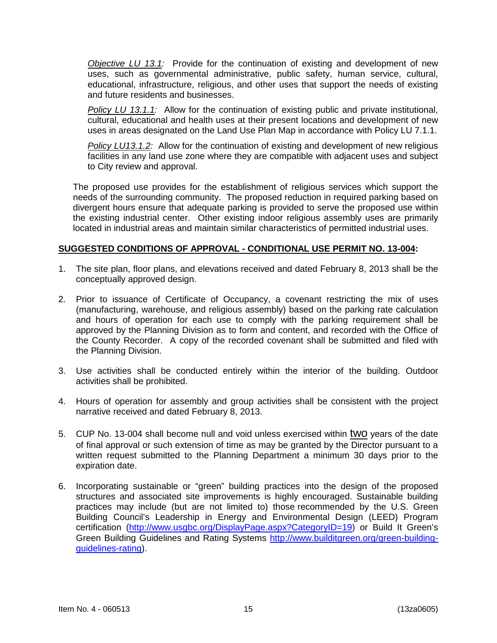*Objective LU 13.1:* Provide for the continuation of existing and development of new uses, such as governmental administrative, public safety, human service, cultural, educational, infrastructure, religious, and other uses that support the needs of existing and future residents and businesses.

*Policy LU 13.1.1:* Allow for the continuation of existing public and private institutional, cultural, educational and health uses at their present locations and development of new uses in areas designated on the Land Use Plan Map in accordance with Policy LU 7.1.1.

*Policy LU13.1.2:* Allow for the continuation of existing and development of new religious facilities in any land use zone where they are compatible with adjacent uses and subject to City review and approval.

The proposed use provides for the establishment of religious services which support the needs of the surrounding community. The proposed reduction in required parking based on divergent hours ensure that adequate parking is provided to serve the proposed use within the existing industrial center. Other existing indoor religious assembly uses are primarily located in industrial areas and maintain similar characteristics of permitted industrial uses.

### **SUGGESTED CONDITIONS OF APPROVAL - CONDITIONAL USE PERMIT NO. 13-004:**

- 1. The site plan, floor plans, and elevations received and dated February 8, 2013 shall be the conceptually approved design.
- 2. Prior to issuance of Certificate of Occupancy, a covenant restricting the mix of uses (manufacturing, warehouse, and religious assembly) based on the parking rate calculation and hours of operation for each use to comply with the parking requirement shall be approved by the Planning Division as to form and content, and recorded with the Office of the County Recorder. A copy of the recorded covenant shall be submitted and filed with the Planning Division.
- 3. Use activities shall be conducted entirely within the interior of the building. Outdoor activities shall be prohibited.
- 4. Hours of operation for assembly and group activities shall be consistent with the project narrative received and dated February 8, 2013.
- 5. CUP No. 13-004 shall become null and void unless exercised within two years of the date of final approval or such extension of time as may be granted by the Director pursuant to a written request submitted to the Planning Department a minimum 30 days prior to the expiration date.
- 6. Incorporating sustainable or "green" building practices into the design of the proposed structures and associated site improvements is highly encouraged. Sustainable building practices may include (but are not limited to) those recommended by the U.S. Green Building Council's Leadership in Energy and Environmental Design (LEED) Program certification [\(http://www.usgbc.org/DisplayPage.aspx?CategoryID=19\)](http://www.usgbc.org/DisplayPage.aspx?CategoryID=19) or Build It Green's Green Building Guidelines and Rating Systems [http://www.builditgreen.org/green-building](http://www.builditgreen.org/green-building-guidelines-rating)[guidelines-rating\)](http://www.builditgreen.org/green-building-guidelines-rating).